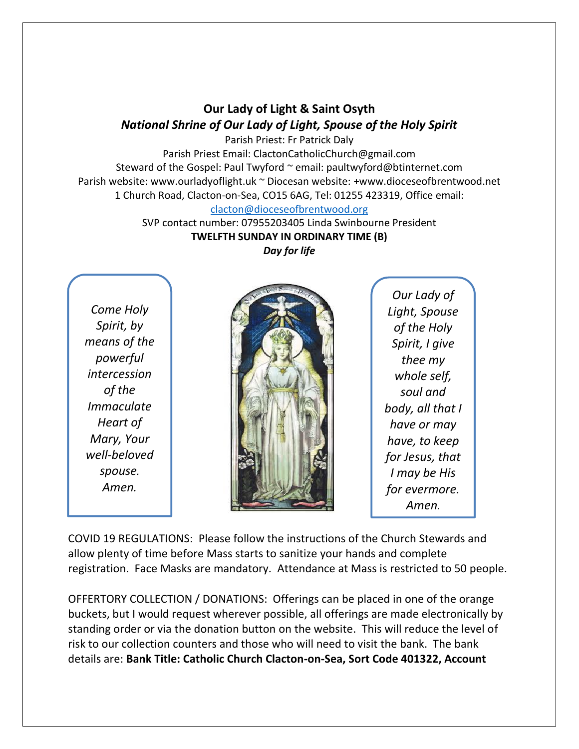### **Our Lady of Light & Saint Osyth** *National Shrine of Our Lady of Light, Spouse of the Holy Spirit*

Parish Priest: Fr Patrick Daly Parish Priest Email: ClactonCatholicChurch@gmail.com Steward of the Gospel: Paul Twyford ~ email: paultwyford@btinternet.com Parish website: www.ourladyoflight.uk ~ Diocesan website: +www.dioceseofbrentwood.net 1 Church Road, Clacton-on-Sea, CO15 6AG, Tel: 01255 423319, Office email: [clacton@dioceseofbrentwood.org](mailto:clacton@dioceseofbrentwood.org)

SVP contact number: 07955203405 Linda Swinbourne President **TWELFTH SUNDAY IN ORDINARY TIME (B)** *Day for life*

*Come Holy Spirit, by means of the powerful intercession of the Immaculate Heart of Mary, Your well-beloved spouse. Amen.*



*Our Lady of Light, Spouse of the Holy Spirit, I give thee my whole self, soul and body, all that I have or may have, to keep for Jesus, that I may be His for evermore. Amen.*

COVID 19 REGULATIONS: Please follow the instructions of the Church Stewards and allow plenty of time before Mass starts to sanitize your hands and complete registration. Face Masks are mandatory. Attendance at Mass is restricted to 50 people.

OFFERTORY COLLECTION / DONATIONS: Offerings can be placed in one of the orange buckets, but I would request wherever possible, all offerings are made electronically by standing order or via the donation button on the website. This will reduce the level of risk to our collection counters and those who will need to visit the bank. The bank details are: **Bank Title: Catholic Church Clacton-on-Sea, Sort Code 401322, Account**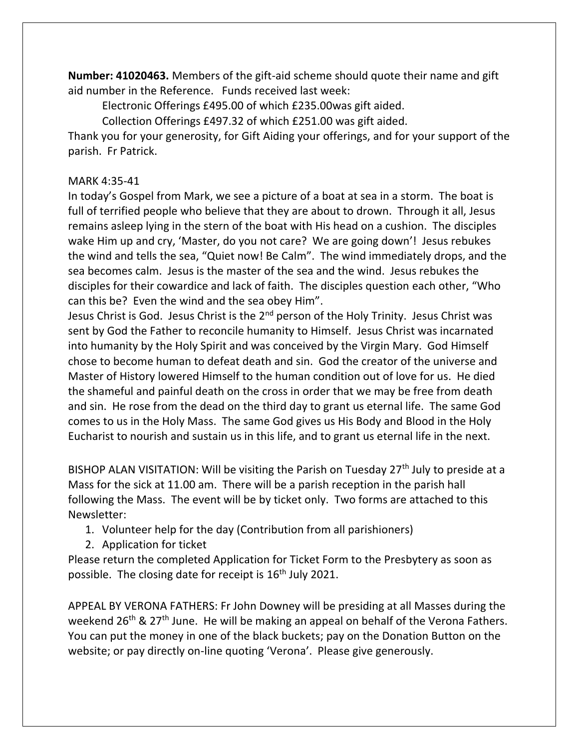**Number: 41020463.** Members of the gift-aid scheme should quote their name and gift aid number in the Reference. Funds received last week:

Electronic Offerings £495.00 of which £235.00was gift aided.

Collection Offerings £497.32 of which £251.00 was gift aided.

Thank you for your generosity, for Gift Aiding your offerings, and for your support of the parish. Fr Patrick.

#### MARK 4:35-41

In today's Gospel from Mark, we see a picture of a boat at sea in a storm. The boat is full of terrified people who believe that they are about to drown. Through it all, Jesus remains asleep lying in the stern of the boat with His head on a cushion. The disciples wake Him up and cry, 'Master, do you not care? We are going down'! Jesus rebukes the wind and tells the sea, "Quiet now! Be Calm". The wind immediately drops, and the sea becomes calm. Jesus is the master of the sea and the wind. Jesus rebukes the disciples for their cowardice and lack of faith. The disciples question each other, "Who can this be? Even the wind and the sea obey Him".

Jesus Christ is God. Jesus Christ is the 2<sup>nd</sup> person of the Holy Trinity. Jesus Christ was sent by God the Father to reconcile humanity to Himself. Jesus Christ was incarnated into humanity by the Holy Spirit and was conceived by the Virgin Mary. God Himself chose to become human to defeat death and sin. God the creator of the universe and Master of History lowered Himself to the human condition out of love for us. He died the shameful and painful death on the cross in order that we may be free from death and sin. He rose from the dead on the third day to grant us eternal life. The same God comes to us in the Holy Mass. The same God gives us His Body and Blood in the Holy Eucharist to nourish and sustain us in this life, and to grant us eternal life in the next.

BISHOP ALAN VISITATION: Will be visiting the Parish on Tuesday  $27<sup>th</sup>$  July to preside at a Mass for the sick at 11.00 am. There will be a parish reception in the parish hall following the Mass. The event will be by ticket only. Two forms are attached to this Newsletter:

1. Volunteer help for the day (Contribution from all parishioners)

2. Application for ticket

Please return the completed Application for Ticket Form to the Presbytery as soon as possible. The closing date for receipt is  $16<sup>th</sup>$  July 2021.

APPEAL BY VERONA FATHERS: Fr John Downey will be presiding at all Masses during the weekend 26<sup>th</sup> & 27<sup>th</sup> June. He will be making an appeal on behalf of the Verona Fathers. You can put the money in one of the black buckets; pay on the Donation Button on the website; or pay directly on-line quoting 'Verona'. Please give generously.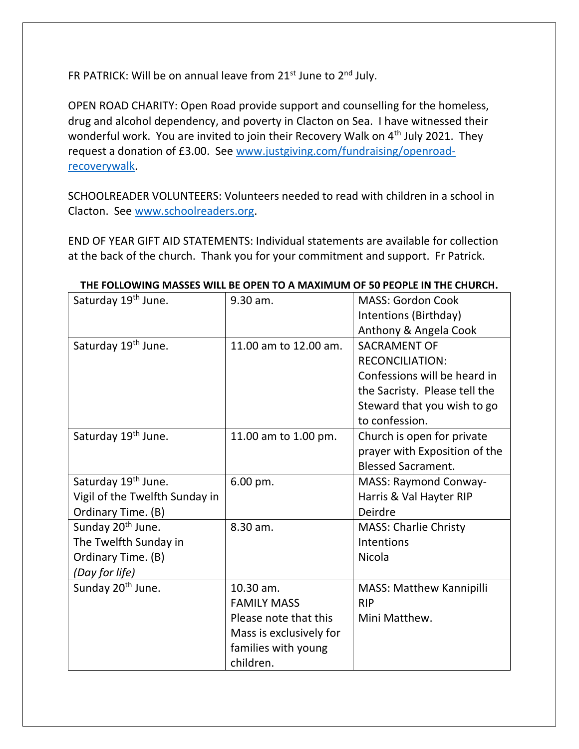FR PATRICK: Will be on annual leave from 21st June to 2<sup>nd</sup> July.

OPEN ROAD CHARITY: Open Road provide support and counselling for the homeless, drug and alcohol dependency, and poverty in Clacton on Sea. I have witnessed their wonderful work. You are invited to join their Recovery Walk on  $4<sup>th</sup>$  July 2021. They request a donation of £3.00. See [www.justgiving.com/fundraising/openroad](http://www.justgiving.com/fundraising/openroad-recoverywalk)[recoverywalk.](http://www.justgiving.com/fundraising/openroad-recoverywalk)

SCHOOLREADER VOLUNTEERS: Volunteers needed to read with children in a school in Clacton. See [www.schoolreaders.org.](http://www.schoolreaders.org/)

END OF YEAR GIFT AID STATEMENTS: Individual statements are available for collection at the back of the church. Thank you for your commitment and support. Fr Patrick.

| Saturday 19 <sup>th</sup> June. | 9.30 am.                | <b>MASS: Gordon Cook</b>      |
|---------------------------------|-------------------------|-------------------------------|
|                                 |                         | Intentions (Birthday)         |
|                                 |                         | Anthony & Angela Cook         |
| Saturday 19 <sup>th</sup> June. | 11.00 am to 12.00 am.   | <b>SACRAMENT OF</b>           |
|                                 |                         | <b>RECONCILIATION:</b>        |
|                                 |                         | Confessions will be heard in  |
|                                 |                         | the Sacristy. Please tell the |
|                                 |                         | Steward that you wish to go   |
|                                 |                         | to confession.                |
| Saturday 19 <sup>th</sup> June. | 11.00 am to 1.00 pm.    | Church is open for private    |
|                                 |                         | prayer with Exposition of the |
|                                 |                         | <b>Blessed Sacrament.</b>     |
| Saturday 19 <sup>th</sup> June. | 6.00 pm.                | <b>MASS: Raymond Conway-</b>  |
| Vigil of the Twelfth Sunday in  |                         | Harris & Val Hayter RIP       |
| Ordinary Time. (B)              |                         | Deirdre                       |
| Sunday 20 <sup>th</sup> June.   | 8.30 am.                | <b>MASS: Charlie Christy</b>  |
| The Twelfth Sunday in           |                         | Intentions                    |
| Ordinary Time. (B)              |                         | Nicola                        |
| (Day for life)                  |                         |                               |
| Sunday 20 <sup>th</sup> June.   | 10.30 am.               | MASS: Matthew Kannipilli      |
|                                 | <b>FAMILY MASS</b>      | <b>RIP</b>                    |
|                                 | Please note that this   | Mini Matthew.                 |
|                                 | Mass is exclusively for |                               |
|                                 | families with young     |                               |
|                                 | children.               |                               |

#### **THE FOLLOWING MASSES WILL BE OPEN TO A MAXIMUM OF 50 PEOPLE IN THE CHURCH.**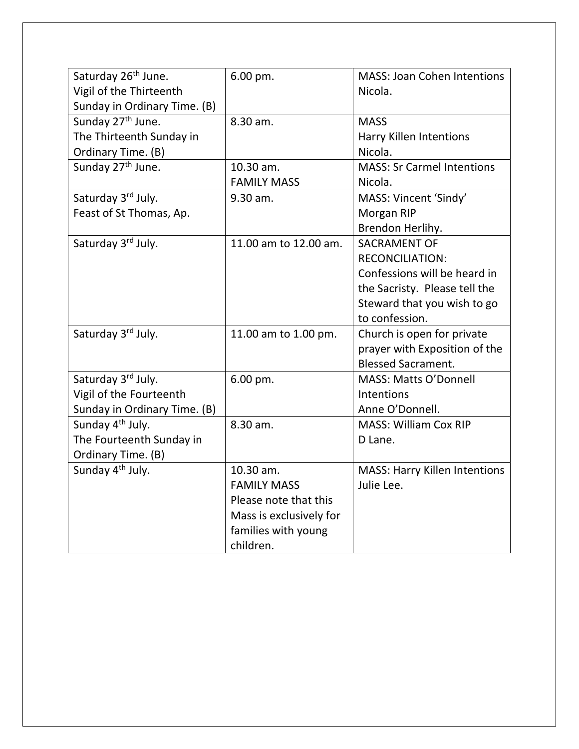| Saturday 26 <sup>th</sup> June. | 6.00 pm.                | <b>MASS: Joan Cohen Intentions</b>   |
|---------------------------------|-------------------------|--------------------------------------|
| Vigil of the Thirteenth         |                         | Nicola.                              |
| Sunday in Ordinary Time. (B)    |                         |                                      |
| Sunday 27 <sup>th</sup> June.   | 8.30 am.                | <b>MASS</b>                          |
| The Thirteenth Sunday in        |                         | Harry Killen Intentions              |
| Ordinary Time. (B)              |                         | Nicola.                              |
| Sunday 27 <sup>th</sup> June.   | 10.30 am.               | <b>MASS: Sr Carmel Intentions</b>    |
|                                 | <b>FAMILY MASS</b>      | Nicola.                              |
| Saturday 3rd July.              | 9.30 am.                | MASS: Vincent 'Sindy'                |
| Feast of St Thomas, Ap.         |                         | Morgan RIP                           |
|                                 |                         | Brendon Herlihy.                     |
| Saturday 3rd July.              | 11.00 am to 12.00 am.   | <b>SACRAMENT OF</b>                  |
|                                 |                         | <b>RECONCILIATION:</b>               |
|                                 |                         | Confessions will be heard in         |
|                                 |                         | the Sacristy. Please tell the        |
|                                 |                         | Steward that you wish to go          |
|                                 |                         | to confession.                       |
| Saturday 3rd July.              | 11.00 am to 1.00 pm.    | Church is open for private           |
|                                 |                         | prayer with Exposition of the        |
|                                 |                         | <b>Blessed Sacrament.</b>            |
| Saturday 3rd July.              | 6.00 pm.                | MASS: Matts O'Donnell                |
| Vigil of the Fourteenth         |                         | Intentions                           |
| Sunday in Ordinary Time. (B)    |                         | Anne O'Donnell.                      |
| Sunday 4 <sup>th</sup> July.    | 8.30 am.                | <b>MASS: William Cox RIP</b>         |
| The Fourteenth Sunday in        |                         | D Lane.                              |
| Ordinary Time. (B)              |                         |                                      |
| Sunday 4 <sup>th</sup> July.    | 10.30 am.               | <b>MASS: Harry Killen Intentions</b> |
|                                 | <b>FAMILY MASS</b>      | Julie Lee.                           |
|                                 | Please note that this   |                                      |
|                                 | Mass is exclusively for |                                      |
|                                 | families with young     |                                      |
|                                 | children.               |                                      |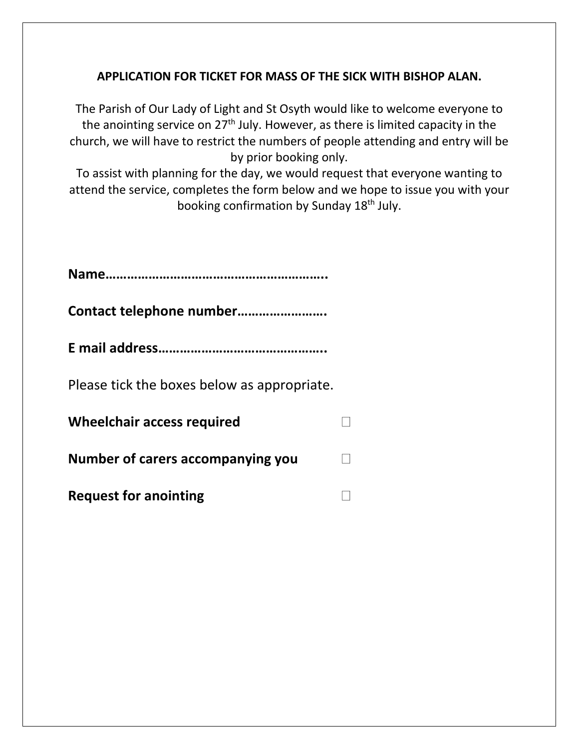### **APPLICATION FOR TICKET FOR MASS OF THE SICK WITH BISHOP ALAN.**

The Parish of Our Lady of Light and St Osyth would like to welcome everyone to the anointing service on 27<sup>th</sup> July. However, as there is limited capacity in the church, we will have to restrict the numbers of people attending and entry will be by prior booking only.

To assist with planning for the day, we would request that everyone wanting to attend the service, completes the form below and we hope to issue you with your booking confirmation by Sunday 18<sup>th</sup> July.

| Please tick the boxes below as appropriate. |  |
|---------------------------------------------|--|
| <b>Wheelchair access required</b>           |  |
| Number of carers accompanying you           |  |
| <b>Request for anointing</b>                |  |